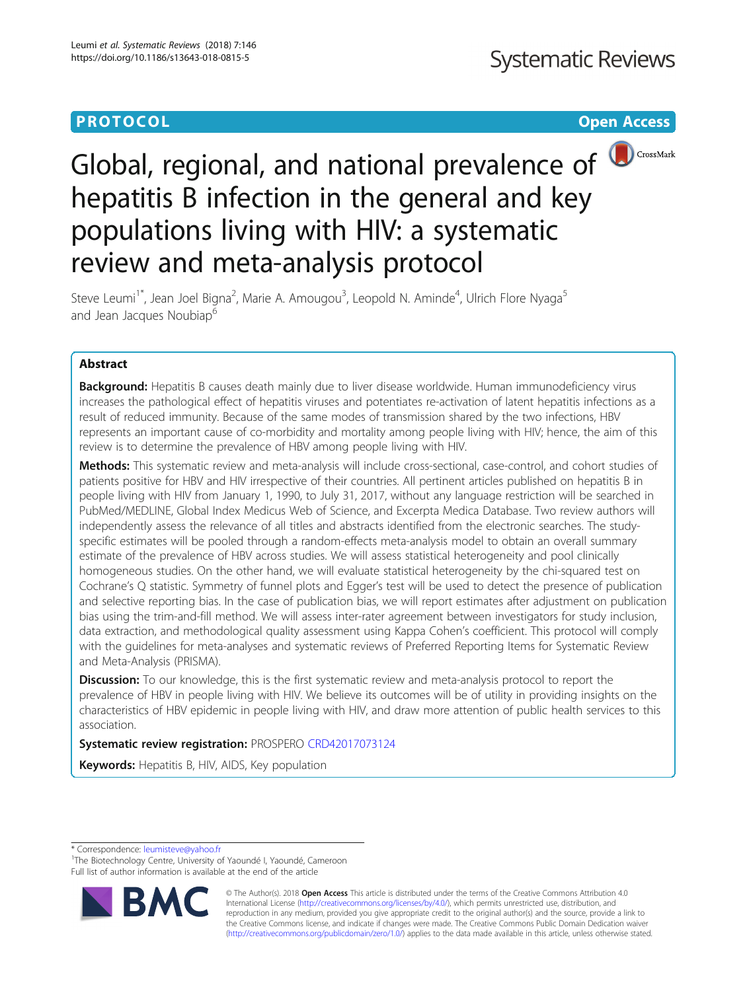# **PROTOCOL CONSUMING THE OPEN ACCESS**



# Global, regional, and national prevalence of **O**CrossMark hepatitis B infection in the general and key populations living with HIV: a systematic review and meta-analysis protocol

Steve Leumi<sup>1\*</sup>, Jean Joel Bigna<sup>2</sup>, Marie A. Amougou<sup>3</sup>, Leopold N. Aminde<sup>4</sup>, Ulrich Flore Nyaga<sup>5</sup> and Jean Jacques Noubiap<sup>6</sup>

# Abstract

**Background:** Hepatitis B causes death mainly due to liver disease worldwide. Human immunodeficiency virus increases the pathological effect of hepatitis viruses and potentiates re-activation of latent hepatitis infections as a result of reduced immunity. Because of the same modes of transmission shared by the two infections, HBV represents an important cause of co-morbidity and mortality among people living with HIV; hence, the aim of this review is to determine the prevalence of HBV among people living with HIV.

Methods: This systematic review and meta-analysis will include cross-sectional, case-control, and cohort studies of patients positive for HBV and HIV irrespective of their countries. All pertinent articles published on hepatitis B in people living with HIV from January 1, 1990, to July 31, 2017, without any language restriction will be searched in PubMed/MEDLINE, Global Index Medicus Web of Science, and Excerpta Medica Database. Two review authors will independently assess the relevance of all titles and abstracts identified from the electronic searches. The studyspecific estimates will be pooled through a random-effects meta-analysis model to obtain an overall summary estimate of the prevalence of HBV across studies. We will assess statistical heterogeneity and pool clinically homogeneous studies. On the other hand, we will evaluate statistical heterogeneity by the chi-squared test on Cochrane's Q statistic. Symmetry of funnel plots and Egger's test will be used to detect the presence of publication and selective reporting bias. In the case of publication bias, we will report estimates after adjustment on publication bias using the trim-and-fill method. We will assess inter-rater agreement between investigators for study inclusion, data extraction, and methodological quality assessment using Kappa Cohen's coefficient. This protocol will comply with the guidelines for meta-analyses and systematic reviews of Preferred Reporting Items for Systematic Review and Meta-Analysis (PRISMA).

**Discussion:** To our knowledge, this is the first systematic review and meta-analysis protocol to report the prevalence of HBV in people living with HIV. We believe its outcomes will be of utility in providing insights on the characteristics of HBV epidemic in people living with HIV, and draw more attention of public health services to this association.

Systematic review registration: PROSPERO [CRD42017073124](https://doi.org/10.1186/s13643-018-0815-5)

Keywords: Hepatitis B, HIV, AIDS, Key population

\* Correspondence: [leumisteve@yahoo.fr](mailto:leumisteve@yahoo.fr) <sup>1</sup>

<sup>1</sup>The Biotechnology Centre, University of Yaoundé I, Yaoundé, Cameroon Full list of author information is available at the end of the article



© The Author(s). 2018 Open Access This article is distributed under the terms of the Creative Commons Attribution 4.0 International License [\(http://creativecommons.org/licenses/by/4.0/](http://creativecommons.org/licenses/by/4.0/)), which permits unrestricted use, distribution, and reproduction in any medium, provided you give appropriate credit to the original author(s) and the source, provide a link to the Creative Commons license, and indicate if changes were made. The Creative Commons Public Domain Dedication waiver [\(http://creativecommons.org/publicdomain/zero/1.0/](http://creativecommons.org/publicdomain/zero/1.0/)) applies to the data made available in this article, unless otherwise stated.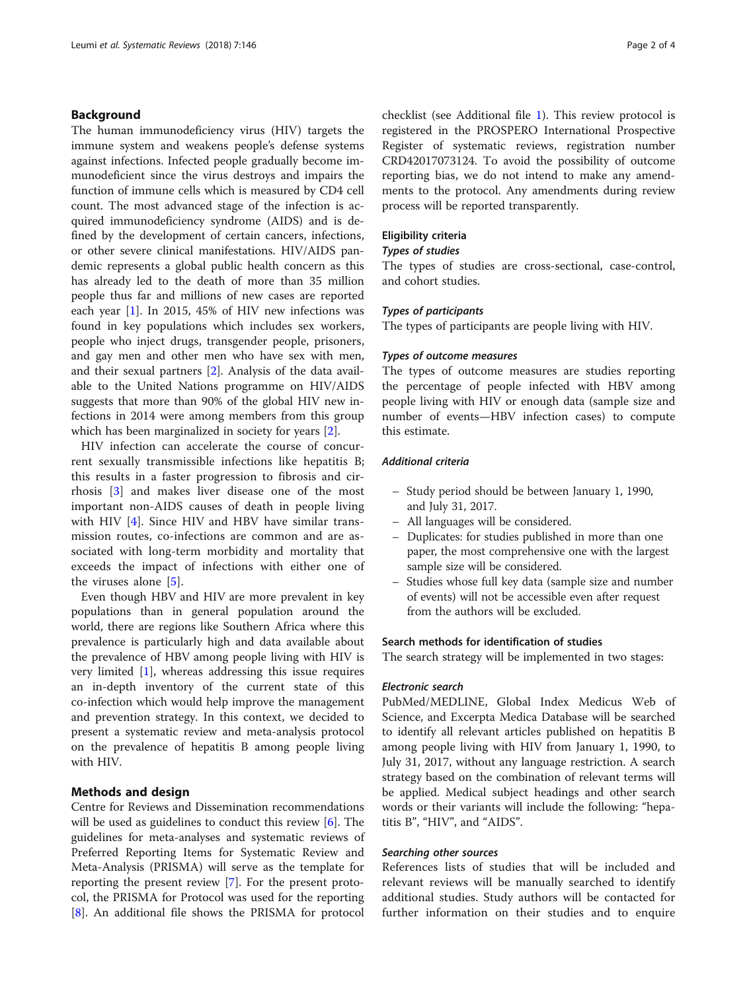# Background

The human immunodeficiency virus (HIV) targets the immune system and weakens people's defense systems against infections. Infected people gradually become immunodeficient since the virus destroys and impairs the function of immune cells which is measured by CD4 cell count. The most advanced stage of the infection is acquired immunodeficiency syndrome (AIDS) and is defined by the development of certain cancers, infections, or other severe clinical manifestations. HIV/AIDS pandemic represents a global public health concern as this has already led to the death of more than 35 million people thus far and millions of new cases are reported each year [\[1](#page-3-0)]. In 2015, 45% of HIV new infections was found in key populations which includes sex workers, people who inject drugs, transgender people, prisoners, and gay men and other men who have sex with men, and their sexual partners [[2\]](#page-3-0). Analysis of the data available to the United Nations programme on HIV/AIDS suggests that more than 90% of the global HIV new infections in 2014 were among members from this group which has been marginalized in society for years [\[2](#page-3-0)].

HIV infection can accelerate the course of concurrent sexually transmissible infections like hepatitis B; this results in a faster progression to fibrosis and cirrhosis [\[3](#page-3-0)] and makes liver disease one of the most important non-AIDS causes of death in people living with HIV [\[4](#page-3-0)]. Since HIV and HBV have similar transmission routes, co-infections are common and are associated with long-term morbidity and mortality that exceeds the impact of infections with either one of the viruses alone [[5\]](#page-3-0).

Even though HBV and HIV are more prevalent in key populations than in general population around the world, there are regions like Southern Africa where this prevalence is particularly high and data available about the prevalence of HBV among people living with HIV is very limited [\[1](#page-3-0)], whereas addressing this issue requires an in-depth inventory of the current state of this co-infection which would help improve the management and prevention strategy. In this context, we decided to present a systematic review and meta-analysis protocol on the prevalence of hepatitis B among people living with HIV.

# Methods and design

Centre for Reviews and Dissemination recommendations will be used as guidelines to conduct this review [\[6](#page-3-0)]. The guidelines for meta-analyses and systematic reviews of Preferred Reporting Items for Systematic Review and Meta-Analysis (PRISMA) will serve as the template for reporting the present review [\[7](#page-3-0)]. For the present protocol, the PRISMA for Protocol was used for the reporting [[8\]](#page-3-0). An additional file shows the PRISMA for protocol

checklist (see Additional file [1](#page-3-0)). This review protocol is registered in the PROSPERO International Prospective Register of systematic reviews, registration number CRD42017073124. To avoid the possibility of outcome reporting bias, we do not intend to make any amendments to the protocol. Any amendments during review process will be reported transparently.

# Eligibility criteria

# Types of studies

The types of studies are cross-sectional, case-control, and cohort studies.

#### Types of participants

The types of participants are people living with HIV.

#### Types of outcome measures

The types of outcome measures are studies reporting the percentage of people infected with HBV among people living with HIV or enough data (sample size and number of events—HBV infection cases) to compute this estimate.

# Additional criteria

- Study period should be between January 1, 1990, and July 31, 2017.
- All languages will be considered.
- Duplicates: for studies published in more than one paper, the most comprehensive one with the largest sample size will be considered.
- Studies whose full key data (sample size and number of events) will not be accessible even after request from the authors will be excluded.

## Search methods for identification of studies

The search strategy will be implemented in two stages:

# Electronic search

PubMed/MEDLINE, Global Index Medicus Web of Science, and Excerpta Medica Database will be searched to identify all relevant articles published on hepatitis B among people living with HIV from January 1, 1990, to July 31, 2017, without any language restriction. A search strategy based on the combination of relevant terms will be applied. Medical subject headings and other search words or their variants will include the following: "hepatitis B", "HIV", and "AIDS".

# Searching other sources

References lists of studies that will be included and relevant reviews will be manually searched to identify additional studies. Study authors will be contacted for further information on their studies and to enquire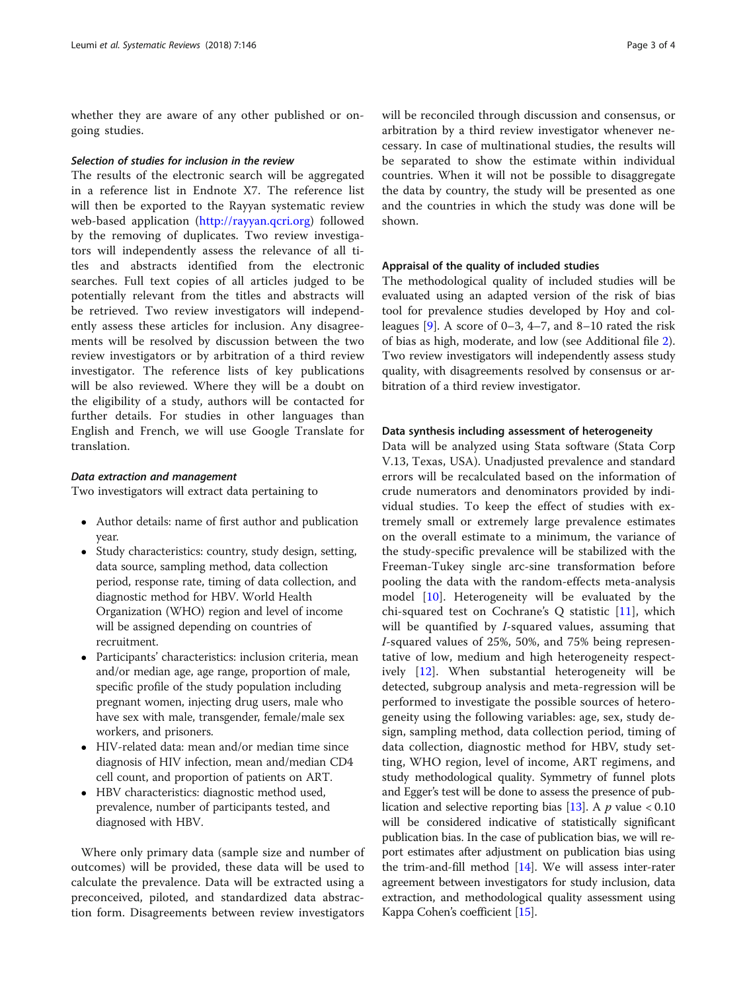whether they are aware of any other published or ongoing studies.

#### Selection of studies for inclusion in the review

The results of the electronic search will be aggregated in a reference list in Endnote X7. The reference list will then be exported to the Rayyan systematic review web-based application (<http://rayyan.qcri.org>) followed by the removing of duplicates. Two review investigators will independently assess the relevance of all titles and abstracts identified from the electronic searches. Full text copies of all articles judged to be potentially relevant from the titles and abstracts will be retrieved. Two review investigators will independently assess these articles for inclusion. Any disagreements will be resolved by discussion between the two review investigators or by arbitration of a third review investigator. The reference lists of key publications will be also reviewed. Where they will be a doubt on the eligibility of a study, authors will be contacted for further details. For studies in other languages than English and French, we will use Google Translate for translation.

## Data extraction and management

Two investigators will extract data pertaining to

- Author details: name of first author and publication year.
- Study characteristics: country, study design, setting, data source, sampling method, data collection period, response rate, timing of data collection, and diagnostic method for HBV. World Health Organization (WHO) region and level of income will be assigned depending on countries of recruitment.
- Participants' characteristics: inclusion criteria, mean and/or median age, age range, proportion of male, specific profile of the study population including pregnant women, injecting drug users, male who have sex with male, transgender, female/male sex workers, and prisoners.
- HIV-related data: mean and/or median time since diagnosis of HIV infection, mean and/median CD4 cell count, and proportion of patients on ART.
- HBV characteristics: diagnostic method used, prevalence, number of participants tested, and diagnosed with HBV.

Where only primary data (sample size and number of outcomes) will be provided, these data will be used to calculate the prevalence. Data will be extracted using a preconceived, piloted, and standardized data abstraction form. Disagreements between review investigators will be reconciled through discussion and consensus, or arbitration by a third review investigator whenever necessary. In case of multinational studies, the results will be separated to show the estimate within individual countries. When it will not be possible to disaggregate the data by country, the study will be presented as one and the countries in which the study was done will be shown.

# Appraisal of the quality of included studies

The methodological quality of included studies will be evaluated using an adapted version of the risk of bias tool for prevalence studies developed by Hoy and colleagues  $[9]$  $[9]$  $[9]$ . A score of 0–3, 4–7, and 8–10 rated the risk of bias as high, moderate, and low (see Additional file [2](#page-3-0)). Two review investigators will independently assess study quality, with disagreements resolved by consensus or arbitration of a third review investigator.

#### Data synthesis including assessment of heterogeneity

Data will be analyzed using Stata software (Stata Corp V.13, Texas, USA). Unadjusted prevalence and standard errors will be recalculated based on the information of crude numerators and denominators provided by individual studies. To keep the effect of studies with extremely small or extremely large prevalence estimates on the overall estimate to a minimum, the variance of the study-specific prevalence will be stabilized with the Freeman-Tukey single arc-sine transformation before pooling the data with the random-effects meta-analysis model [\[10](#page-3-0)]. Heterogeneity will be evaluated by the chi-squared test on Cochrane's Q statistic [[11\]](#page-3-0), which will be quantified by I-squared values, assuming that I-squared values of 25%, 50%, and 75% being representative of low, medium and high heterogeneity respectively [\[12](#page-3-0)]. When substantial heterogeneity will be detected, subgroup analysis and meta-regression will be performed to investigate the possible sources of heterogeneity using the following variables: age, sex, study design, sampling method, data collection period, timing of data collection, diagnostic method for HBV, study setting, WHO region, level of income, ART regimens, and study methodological quality. Symmetry of funnel plots and Egger's test will be done to assess the presence of pub-lication and selective reporting bias [\[13](#page-3-0)]. A  $p$  value < 0.10 will be considered indicative of statistically significant publication bias. In the case of publication bias, we will report estimates after adjustment on publication bias using the trim-and-fill method  $[14]$  $[14]$  $[14]$ . We will assess inter-rater agreement between investigators for study inclusion, data extraction, and methodological quality assessment using Kappa Cohen's coefficient [[15](#page-3-0)].